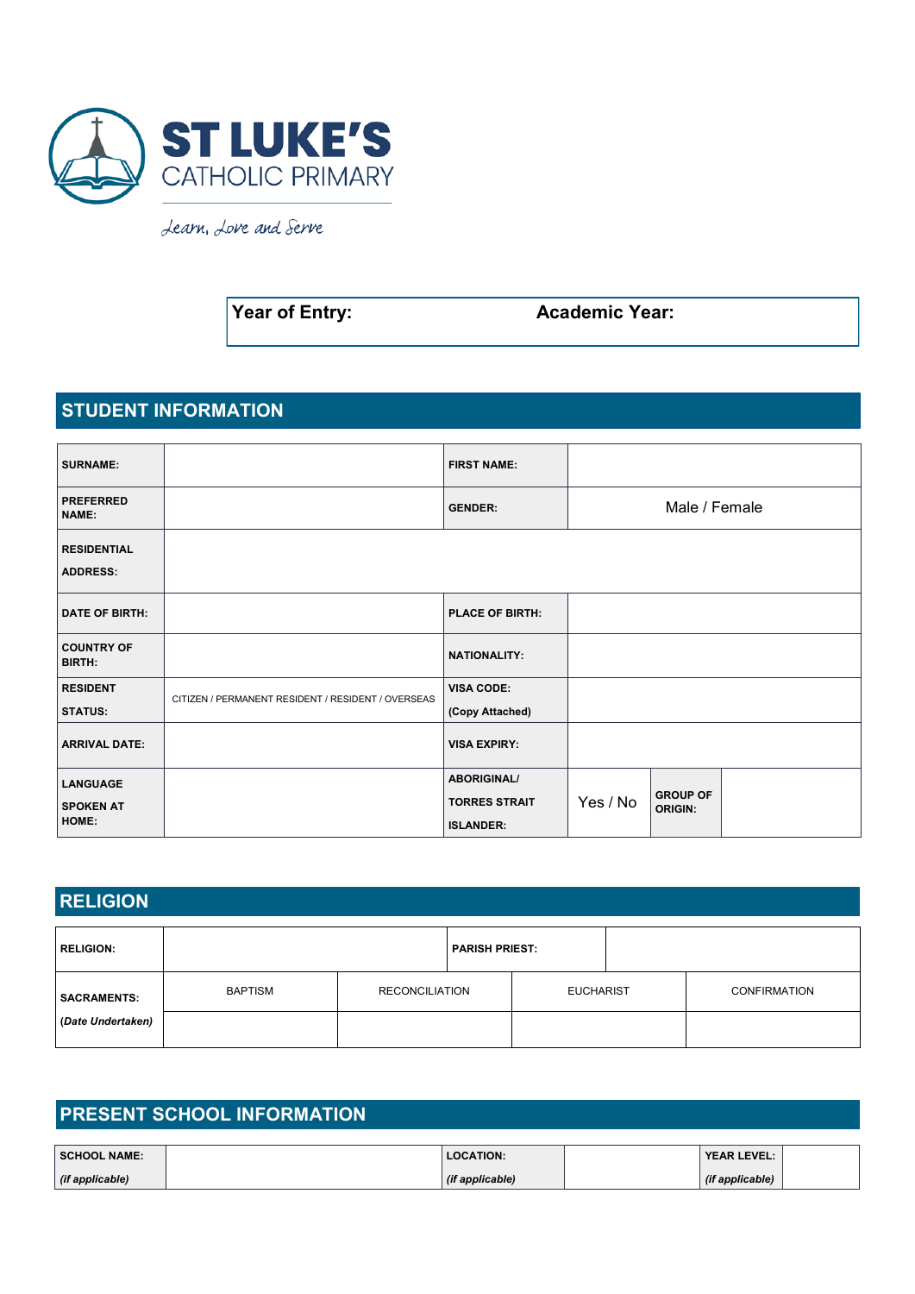

Learn, Love and Serve

**Year of Entry:** Academic Year:

### **STUDENT INFORMATION**

| <b>SURNAME:</b>                       |                                                    | <b>FIRST NAME:</b>     |          |                                   |  |
|---------------------------------------|----------------------------------------------------|------------------------|----------|-----------------------------------|--|
| <b>PREFERRED</b><br>NAME:             |                                                    | <b>GENDER:</b>         |          | Male / Female                     |  |
| <b>RESIDENTIAL</b><br><b>ADDRESS:</b> |                                                    |                        |          |                                   |  |
| <b>DATE OF BIRTH:</b>                 |                                                    | <b>PLACE OF BIRTH:</b> |          |                                   |  |
| <b>COUNTRY OF</b><br><b>BIRTH:</b>    |                                                    | <b>NATIONALITY:</b>    |          |                                   |  |
| <b>RESIDENT</b>                       | CITIZEN / PERMANENT RESIDENT / RESIDENT / OVERSEAS | <b>VISA CODE:</b>      |          |                                   |  |
| <b>STATUS:</b>                        |                                                    | (Copy Attached)        |          |                                   |  |
| <b>ARRIVAL DATE:</b>                  |                                                    | <b>VISA EXPIRY:</b>    |          |                                   |  |
| <b>LANGUAGE</b>                       |                                                    | <b>ABORIGINAL/</b>     |          |                                   |  |
| <b>SPOKEN AT</b>                      |                                                    | <b>TORRES STRAIT</b>   | Yes / No | <b>GROUP OF</b><br><b>ORIGIN:</b> |  |
| HOME:                                 |                                                    | <b>ISLANDER:</b>       |          |                                   |  |

## **RELIGION**

| <b>RELIGION:</b>   |                | <b>PARISH PRIEST:</b> |  |                  |                     |
|--------------------|----------------|-----------------------|--|------------------|---------------------|
| <b>SACRAMENTS:</b> | <b>BAPTISM</b> | <b>RECONCILIATION</b> |  | <b>EUCHARIST</b> | <b>CONFIRMATION</b> |
| (Date Undertaken)  |                |                       |  |                  |                     |

| <b>PRESENT SCHOOL INFORMATION</b> |  |                  |  |                    |  |  |  |  |
|-----------------------------------|--|------------------|--|--------------------|--|--|--|--|
| <b>SCHOOL NAME:</b>               |  | <b>LOCATION:</b> |  | <b>YEAR LEVEL:</b> |  |  |  |  |
| (if applicable)                   |  | (if applicable)  |  | (if applicable)    |  |  |  |  |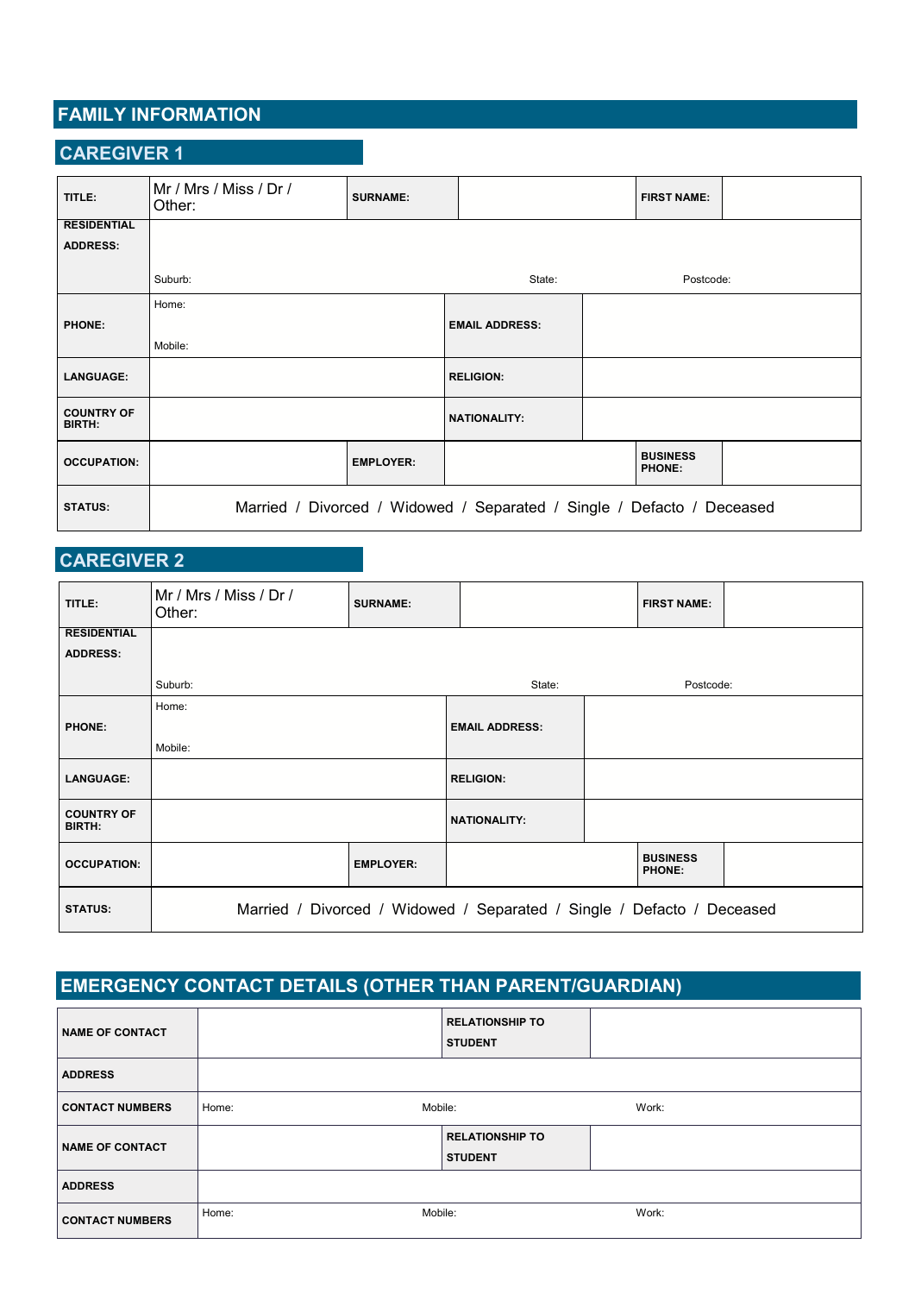## **FAMILY INFORMATION**

### **CAREGIVER 1**

| TITLE:                      | Mr / Mrs / Miss / Dr /<br>Other: | <b>SURNAME:</b>  |                                                                        | <b>FIRST NAME:</b>               |  |
|-----------------------------|----------------------------------|------------------|------------------------------------------------------------------------|----------------------------------|--|
| <b>RESIDENTIAL</b>          |                                  |                  |                                                                        |                                  |  |
| <b>ADDRESS:</b>             |                                  |                  |                                                                        |                                  |  |
|                             |                                  |                  |                                                                        |                                  |  |
|                             | Suburb:                          |                  | State:                                                                 | Postcode:                        |  |
|                             | Home:                            |                  |                                                                        |                                  |  |
| <b>PHONE:</b>               |                                  |                  | <b>EMAIL ADDRESS:</b>                                                  |                                  |  |
|                             | Mobile:                          |                  |                                                                        |                                  |  |
| <b>LANGUAGE:</b>            |                                  |                  | <b>RELIGION:</b>                                                       |                                  |  |
| <b>COUNTRY OF</b><br>BIRTH: |                                  |                  | <b>NATIONALITY:</b>                                                    |                                  |  |
| <b>OCCUPATION:</b>          |                                  | <b>EMPLOYER:</b> |                                                                        | <b>BUSINESS</b><br><b>PHONE:</b> |  |
| <b>STATUS:</b>              |                                  |                  | Married / Divorced / Widowed / Separated / Single / Defacto / Deceased |                                  |  |

## **CAREGIVER 2**

| TITLE:                             | Mr / Mrs / Miss / Dr /<br>Other: | <b>SURNAME:</b>  |                                                                        | <b>FIRST NAME:</b>               |  |
|------------------------------------|----------------------------------|------------------|------------------------------------------------------------------------|----------------------------------|--|
| <b>RESIDENTIAL</b>                 |                                  |                  |                                                                        |                                  |  |
| <b>ADDRESS:</b>                    |                                  |                  |                                                                        |                                  |  |
|                                    | Suburb:                          |                  | State:                                                                 | Postcode:                        |  |
|                                    | Home:                            |                  |                                                                        |                                  |  |
| <b>PHONE:</b>                      |                                  |                  | <b>EMAIL ADDRESS:</b>                                                  |                                  |  |
|                                    | Mobile:                          |                  |                                                                        |                                  |  |
| <b>LANGUAGE:</b>                   |                                  |                  | <b>RELIGION:</b>                                                       |                                  |  |
| <b>COUNTRY OF</b><br><b>BIRTH:</b> |                                  |                  | <b>NATIONALITY:</b>                                                    |                                  |  |
| <b>OCCUPATION:</b>                 |                                  | <b>EMPLOYER:</b> |                                                                        | <b>BUSINESS</b><br><b>PHONE:</b> |  |
| <b>STATUS:</b>                     |                                  |                  | Married / Divorced / Widowed / Separated / Single / Defacto / Deceased |                                  |  |

# **EMERGENCY CONTACT DETAILS (OTHER THAN PARENT/GUARDIAN)**

| <b>NAME OF CONTACT</b> |                  | <b>RELATIONSHIP TO</b><br><b>STUDENT</b> |       |
|------------------------|------------------|------------------------------------------|-------|
| <b>ADDRESS</b>         |                  |                                          |       |
| <b>CONTACT NUMBERS</b> | Mobile:<br>Home: |                                          | Work: |
| <b>NAME OF CONTACT</b> |                  | <b>RELATIONSHIP TO</b><br><b>STUDENT</b> |       |
| <b>ADDRESS</b>         |                  |                                          |       |
| <b>CONTACT NUMBERS</b> | Mobile:<br>Home: |                                          | Work: |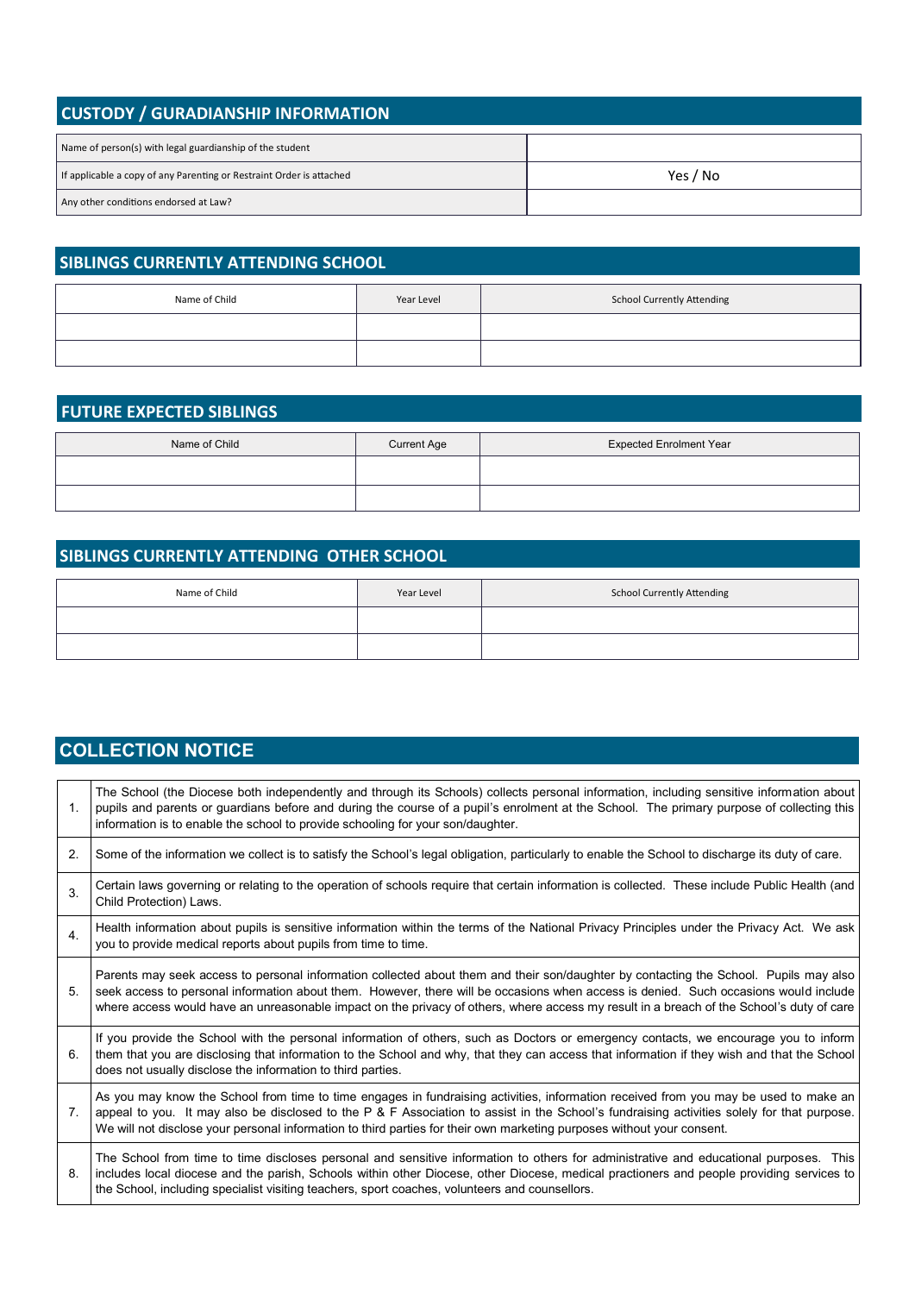| <b>CUSTODY / GURADIANSHIP INFORMATION</b>                            |          |  |  |  |  |
|----------------------------------------------------------------------|----------|--|--|--|--|
| Name of person(s) with legal guardianship of the student             |          |  |  |  |  |
| If applicable a copy of any Parenting or Restraint Order is attached | Yes / No |  |  |  |  |
| Any other conditions endorsed at Law?                                |          |  |  |  |  |

## **SIBLINGS CURRENTLY ATTENDING SCHOOL**

| Name of Child | Year Level | <b>School Currently Attending</b> |
|---------------|------------|-----------------------------------|
|               |            |                                   |
|               |            |                                   |

### **FUTURE EXPECTED SIBLINGS**

| Name of Child | <b>Current Age</b> | <b>Expected Enrolment Year</b> |
|---------------|--------------------|--------------------------------|
|               |                    |                                |
|               |                    |                                |

## **SIBLINGS CURRENTLY ATTENDING OTHER SCHOOL**

| Name of Child | Year Level | <b>School Currently Attending</b> |
|---------------|------------|-----------------------------------|
|               |            |                                   |
|               |            |                                   |

## **COLLECTION NOTICE**

| $\mathbf{1}$ . | The School (the Diocese both independently and through its Schools) collects personal information, including sensitive information about<br>pupils and parents or guardians before and during the course of a pupil's enrolment at the School. The primary purpose of collecting this<br>information is to enable the school to provide schooling for your son/daughter.                                                  |
|----------------|---------------------------------------------------------------------------------------------------------------------------------------------------------------------------------------------------------------------------------------------------------------------------------------------------------------------------------------------------------------------------------------------------------------------------|
| 2.             | Some of the information we collect is to satisfy the School's legal obligation, particularly to enable the School to discharge its duty of care.                                                                                                                                                                                                                                                                          |
| 3.             | Certain laws governing or relating to the operation of schools require that certain information is collected. These include Public Health (and<br>Child Protection) Laws.                                                                                                                                                                                                                                                 |
| 4.             | Health information about pupils is sensitive information within the terms of the National Privacy Principles under the Privacy Act. We ask<br>you to provide medical reports about pupils from time to time.                                                                                                                                                                                                              |
| 5.             | Parents may seek access to personal information collected about them and their son/daughter by contacting the School. Pupils may also<br>seek access to personal information about them. However, there will be occasions when access is denied. Such occasions would include<br>where access would have an unreasonable impact on the privacy of others, where access my result in a breach of the School's duty of care |
| 6.             | If you provide the School with the personal information of others, such as Doctors or emergency contacts, we encourage you to inform<br>them that you are disclosing that information to the School and why, that they can access that information if they wish and that the School<br>does not usually disclose the information to third parties.                                                                        |
| 7.             | As you may know the School from time to time engages in fundraising activities, information received from you may be used to make an<br>appeal to you. It may also be disclosed to the P & F Association to assist in the School's fundraising activities solely for that purpose.<br>We will not disclose your personal information to third parties for their own marketing purposes without your consent.              |
| 8.             | The School from time to time discloses personal and sensitive information to others for administrative and educational purposes. This<br>includes local diocese and the parish, Schools within other Diocese, other Diocese, medical practioners and people providing services to<br>the School, including specialist visiting teachers, sport coaches, volunteers and counsellors.                                       |